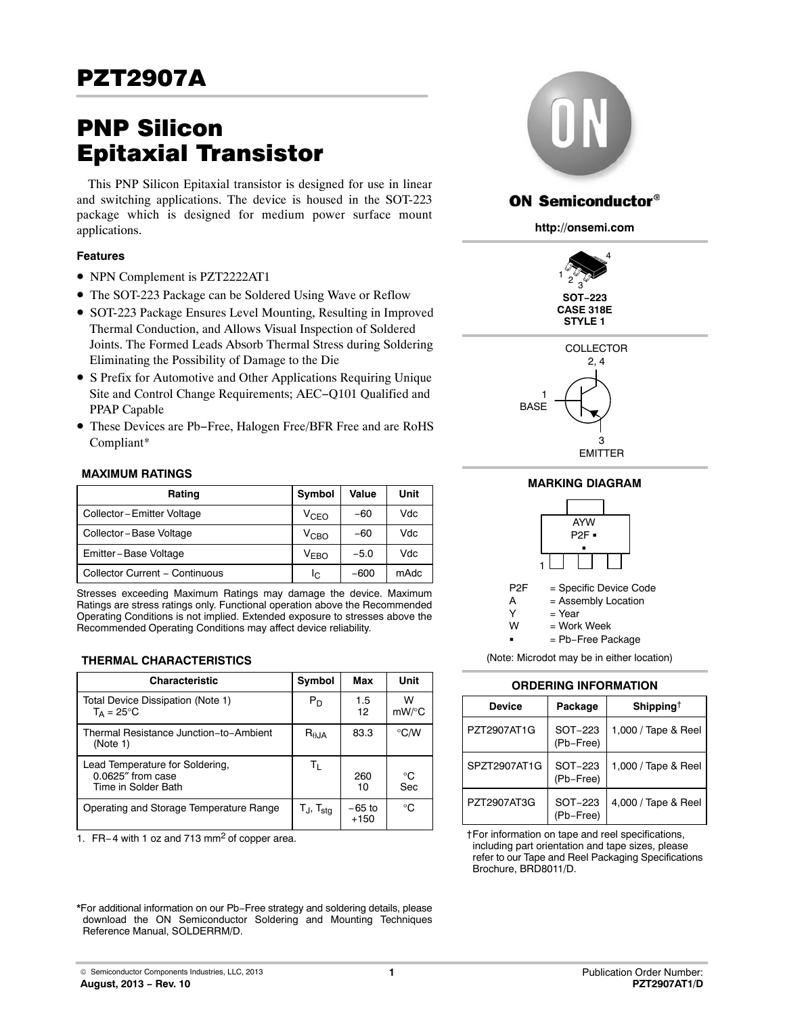# PNP Silicon Epitaxial Transistor

This PNP Silicon Epitaxial transistor is designed for use in linear and switching applications. The device is housed in the SOT-223 package which is designed for medium power surface mount applications.

### **Features**

- NPN Complement is PZT2222AT1
- The SOT-223 Package can be Soldered Using Wave or Reflow
- SOT-223 Package Ensures Level Mounting, Resulting in Improved Thermal Conduction, and Allows Visual Inspection of Soldered Joints. The Formed Leads Absorb Thermal Stress during Soldering Eliminating the Possibility of Damage to the Die
- S Prefix for Automotive and Other Applications Requiring Unique Site and Control Change Requirements; AEC−Q101 Qualified and PPAP Capable
- These Devices are Pb−Free, Halogen Free/BFR Free and are RoHS Compliant\*

#### **MAXIMUM RATINGS**

| Rating                         | Symbol           | Value  | Unit |
|--------------------------------|------------------|--------|------|
| Collector-Emitter Voltage      | V <sub>CFO</sub> | $-60$  | Vdc  |
| Collector - Base Voltage       | VCBO             | $-60$  | Vdc  |
| Emitter-Base Voltage           | V <sub>FRO</sub> | $-5.0$ | Vdc  |
| Collector Current - Continuous | Ic.              | $-600$ | mAdc |

Stresses exceeding Maximum Ratings may damage the device. Maximum Ratings are stress ratings only. Functional operation above the Recommended Operating Conditions is not implied. Extended exposure to stresses above the Recommended Operating Conditions may affect device reliability.

### **THERMAL CHARACTERISTICS**

| <b>Characteristic</b>                                                          | Symbol                   | Max                | Unit         |
|--------------------------------------------------------------------------------|--------------------------|--------------------|--------------|
| Total Device Dissipation (Note 1)<br>$T_A = 25^{\circ}$ C                      | $P_D$                    | 1.5<br>12          | w<br>mW/°C   |
| Thermal Resistance Junction-to-Ambient<br>(Note 1)                             | $R_{\theta,IA}$          | 83.3               | ℃/W          |
| Lead Temperature for Soldering,<br>$0.0625''$ from case<br>Time in Solder Bath | Τı                       | 260<br>10          | °C<br>Sec    |
| Operating and Storage Temperature Range                                        | $T_J$ , $T_{\text{stg}}$ | $-65$ to<br>$+150$ | $^{\circ}$ C |

1. FR−4 with 1 oz and 713 mm2 of copper area.



# **ON Semiconductor®**

**http://onsemi.com**





**MARKING DIAGRAM**



(Note: Microdot may be in either location)

## **ORDERING INFORMATION**

| <b>Device</b> | Package              | Shipping <sup>†</sup> |  |  |  |  |
|---------------|----------------------|-----------------------|--|--|--|--|
| PZT2907AT1G   | SOT-223<br>(Pb-Free) | 1,000 / Tape & Reel   |  |  |  |  |
| SPZT2907AT1G  | SOT-223<br>(Pb-Free) | 1,000 / Tape & Reel   |  |  |  |  |
| PZT2907AT3G   | SOT-223<br>(Pb-Free) | 4,000 / Tape & Reel   |  |  |  |  |

†For information on tape and reel specifications, including part orientation and tape sizes, please refer to our Tape and Reel Packaging Specifications Brochure, BRD8011/D.

\*For additional information on our Pb−Free strategy and soldering details, please download the ON Semiconductor Soldering and Mounting Techniques Reference Manual, SOLDERRM/D.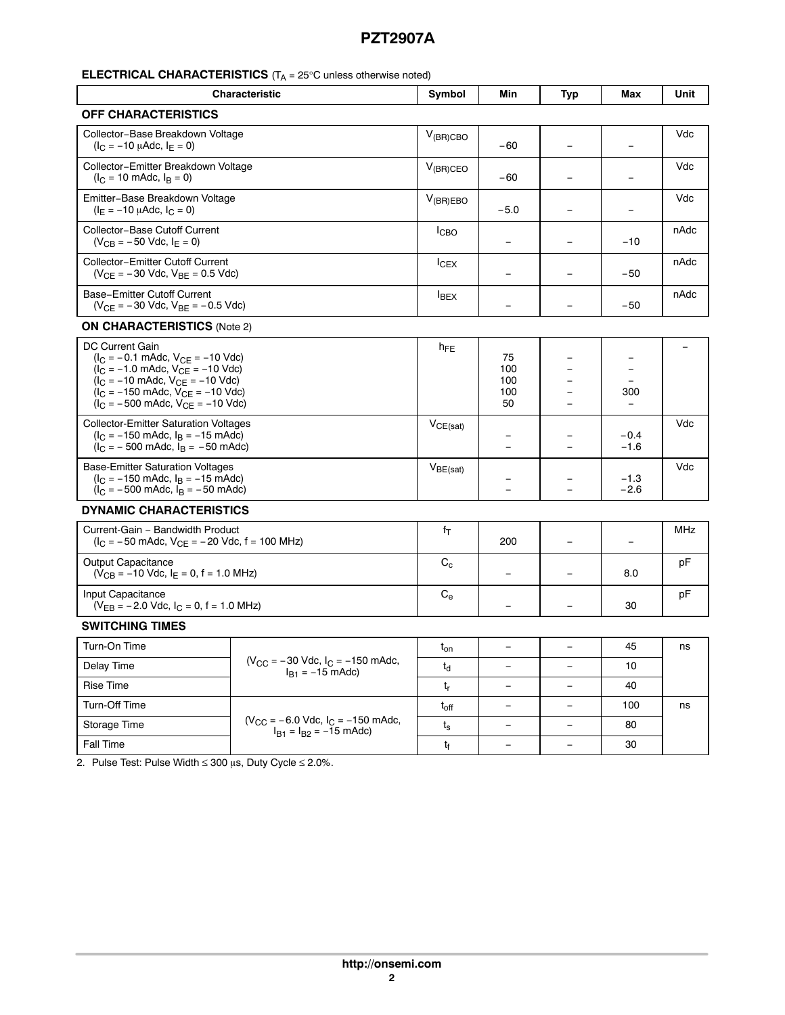# **ELECTRICAL CHARACTERISTICS** (T<sub>A</sub> = 25°C unless otherwise noted)

| <b>Characteristic</b>                                                                                                                                                                                                                                                                                                           | Symbol                                                                    | Min           | Typ                           | Max               | Unit             |            |
|---------------------------------------------------------------------------------------------------------------------------------------------------------------------------------------------------------------------------------------------------------------------------------------------------------------------------------|---------------------------------------------------------------------------|---------------|-------------------------------|-------------------|------------------|------------|
| <b>OFF CHARACTERISTICS</b>                                                                                                                                                                                                                                                                                                      |                                                                           |               |                               |                   |                  |            |
| Collector-Base Breakdown Voltage<br>$(I_C = -10 \mu A d c, I_E = 0)$                                                                                                                                                                                                                                                            | $V_{(BR)CBO}$                                                             | $-60$         |                               | ÷,                | Vdc              |            |
| Collector-Emitter Breakdown Voltage<br>$(I_C = 10 \text{ m}$ Adc, $I_R = 0$ )                                                                                                                                                                                                                                                   | $V_{(BR)CEO}$                                                             | $-60$         |                               | $\equiv$          | Vdc              |            |
| Emitter-Base Breakdown Voltage<br>$(I_E = -10 \mu A d c, I_C = 0)$                                                                                                                                                                                                                                                              |                                                                           | $V_{(BR)EBO}$ | $-5.0$                        |                   |                  | Vdc        |
| Collector-Base Cutoff Current<br>$(V_{CB} = -50$ Vdc, $I_E = 0)$                                                                                                                                                                                                                                                                |                                                                           | <b>I</b> CBO  | $\equiv$                      |                   | $-10$            | nAdc       |
| Collector-Emitter Cutoff Current<br>$(V_{CE} = -30$ Vdc, $V_{BE} = 0.5$ Vdc)                                                                                                                                                                                                                                                    |                                                                           | $I_{CEX}$     |                               | -                 | $-50$            | nAdc       |
| <b>Base-Emitter Cutoff Current</b><br>$(V_{CE} = -30$ Vdc, $V_{BE} = -0.5$ Vdc)                                                                                                                                                                                                                                                 |                                                                           | $I_{BEX}$     |                               |                   | $-50$            | nAdc       |
| <b>ON CHARACTERISTICS (Note 2)</b>                                                                                                                                                                                                                                                                                              |                                                                           |               |                               |                   |                  |            |
| DC Current Gain<br>$(I_C = -0.1 \text{ m}$ Adc, $V_{CF} = -10 \text{ V}$ dc)<br>$(I_C = -1.0 \text{ m}$ Adc, $V_{CE} = -10 \text{ V}$ dc)<br>$(I_C = -10 \text{ m}$ Adc, $V_{CF} = -10 \text{ V}$ dc)<br>$(I_C = -150 \text{ m}$ Adc, $V_{CE} = -10 \text{ V}$ dc)<br>$(I_C = -500 \text{ m}$ Adc, $V_{CE} = -10 \text{ V}$ dc) |                                                                           | $h_{FE}$      | 75<br>100<br>100<br>100<br>50 |                   | $\equiv$<br>300  |            |
| <b>Collector-Emitter Saturation Voltages</b><br>$(I_C = -150 \text{ m}$ Adc, $I_B = -15 \text{ m}$ Adc)<br>$(l_C = -500 \text{ m}$ Adc, $l_B = -50 \text{ m}$ Adc)                                                                                                                                                              |                                                                           | $V_{CE(sat)}$ |                               |                   | $-0.4$<br>$-1.6$ | Vdc        |
| <b>Base-Emitter Saturation Voltages</b><br>$(I_C = -150 \text{ m}$ Adc, $I_B = -15 \text{ m}$ Adc)<br>$(l_C = -500 \text{ m}$ Adc, $l_B = -50 \text{ m}$ Adc)                                                                                                                                                                   |                                                                           | $V_{BE(sat)}$ |                               |                   | $-1.3$<br>$-2.6$ | Vdc        |
| <b>DYNAMIC CHARACTERISTICS</b>                                                                                                                                                                                                                                                                                                  |                                                                           |               |                               |                   |                  |            |
| Current-Gain - Bandwidth Product<br>$(I_C = -50 \text{ m}$ Adc, $V_{CE} = -20 \text{ V}$ dc, f = 100 MHz)                                                                                                                                                                                                                       |                                                                           | $f_T$         | 200                           |                   | $\equiv$         | <b>MHz</b> |
| <b>Output Capacitance</b><br>$(V_{CB} = -10$ Vdc, $I_E = 0$ , f = 1.0 MHz)                                                                                                                                                                                                                                                      | $\mathrm{C_{c}}$                                                          |               |                               | 8.0               | рF               |            |
| Input Capacitance<br>$(V_{EB} = -2.0$ Vdc, $I_C = 0$ , f = 1.0 MHz)                                                                                                                                                                                                                                                             | $C_{e}$                                                                   | $\equiv$      | $\qquad \qquad -$             | 30                | pF               |            |
| <b>SWITCHING TIMES</b>                                                                                                                                                                                                                                                                                                          |                                                                           |               |                               |                   |                  |            |
| Turn-On Time                                                                                                                                                                                                                                                                                                                    |                                                                           | $t_{on}$      | $\equiv$                      |                   | 45               | ns         |
| Delay Time                                                                                                                                                                                                                                                                                                                      | $(V_{CC} = -30$ Vdc, $I_C = -150$ mAdc,<br>$I_{B1} = -15$ mAdc)           | $t_{d}$       | $\equiv$                      |                   | 10               |            |
| <b>Rise Time</b>                                                                                                                                                                                                                                                                                                                |                                                                           | t,            | $\qquad \qquad -$             |                   | 40               |            |
| Turn-Off Time                                                                                                                                                                                                                                                                                                                   |                                                                           | $t_{off}$     | $\overline{\phantom{a}}$      | $\qquad \qquad -$ | 100              | ns         |
| Storage Time                                                                                                                                                                                                                                                                                                                    | $(V_{CC} = -6.0$ Vdc, $I_C = -150$ mAdc,<br>$I_{B1} = I_{B2} = -15$ mAdc) | $t_{\rm s}$   | $\equiv$                      |                   | 80               |            |
| <b>Fall Time</b>                                                                                                                                                                                                                                                                                                                |                                                                           | tғ            | $\equiv$                      | $\equiv$          | 30               |            |

2. Pulse Test: Pulse Width  $\leq 300$  µs, Duty Cycle  $\leq 2.0\%$ .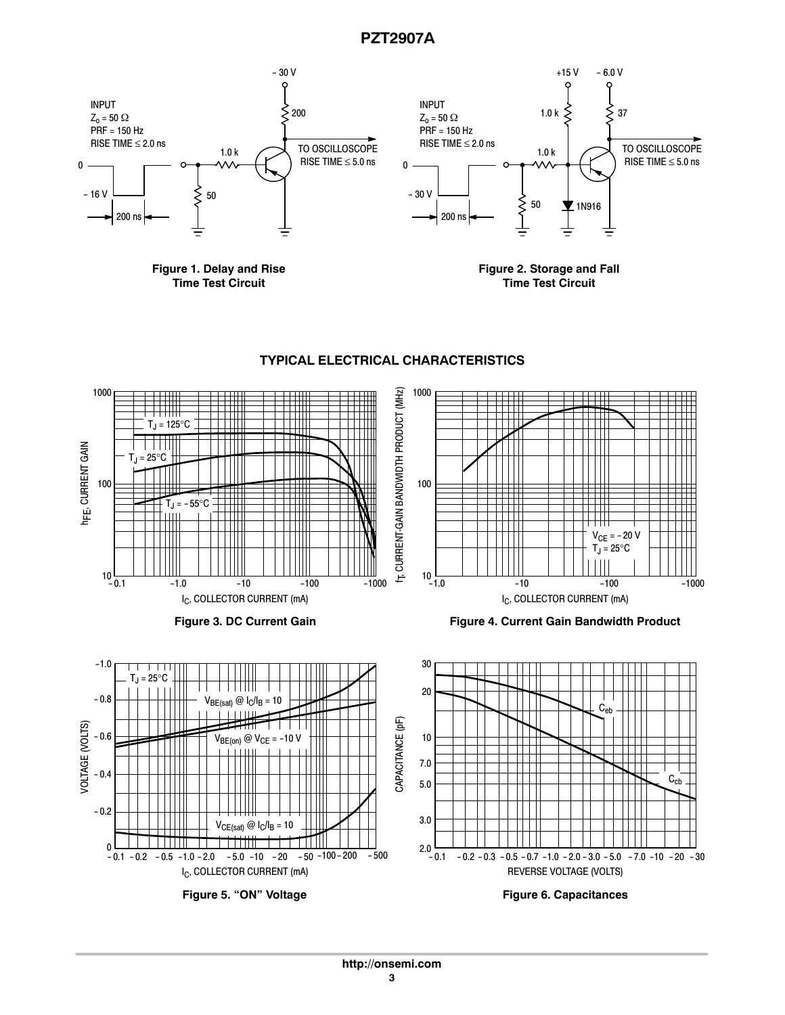